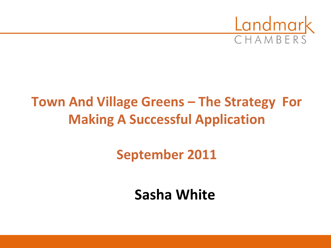

## **Town And Village Greens – The Strategy For Making A Successful Application**

**September 2011**

**Sasha White**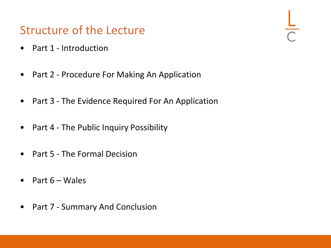#### Structure of the Lecture

- Part 1 Introduction
- Part 2 Procedure For Making An Application
- Part 3 The Evidence Required For An Application
- Part 4 The Public Inquiry Possibility
- Part 5 The Formal Decision
- Part 6 Wales
- Part 7 Summary And Conclusion

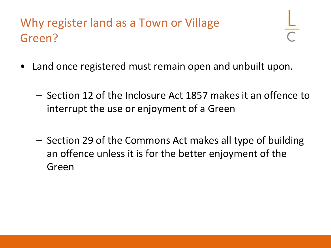## Why register land as a Town or Village Green?

- Land once registered must remain open and unbuilt upon.
	- Section 12 of the Inclosure Act 1857 makes it an offence to interrupt the use or enjoyment of a Green
	- Section 29 of the Commons Act makes all type of building an offence unless it is for the better enjoyment of the Green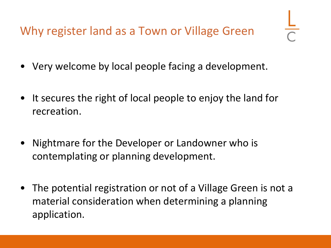Why register land as a Town or Village Green

- Very welcome by local people facing a development.
- It secures the right of local people to enjoy the land for recreation.
- Nightmare for the Developer or Landowner who is contemplating or planning development.
- The potential registration or not of a Village Green is not a material consideration when determining a planning application.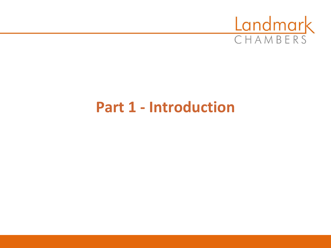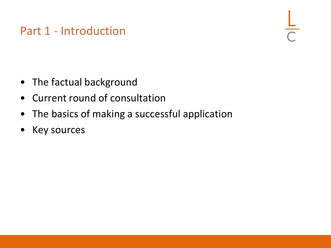- The factual background
- Current round of consultation
- The basics of making a successful application
- Key sources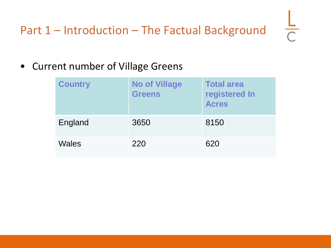### Part 1 – Introduction – The Factual Background

• Current number of Village Greens

| <b>Country</b> | <b>No of Village</b><br><b>Greens</b> | <b>Total area</b><br>registered In<br><b>Acres</b> |
|----------------|---------------------------------------|----------------------------------------------------|
| England        | 3650                                  | 8150                                               |
| <b>Wales</b>   | 220                                   | 620                                                |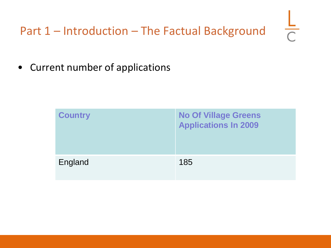• Current number of applications

| <b>Country</b> | <b>No Of Village Greens</b><br><b>Applications In 2009</b> |
|----------------|------------------------------------------------------------|
| England        | 185                                                        |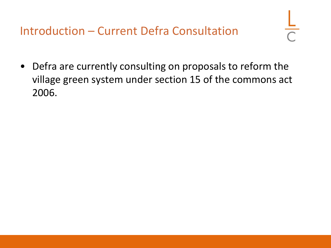Introduction – Current Defra Consultation

• Defra are currently consulting on proposals to reform the village green system under section 15 of the commons act 2006.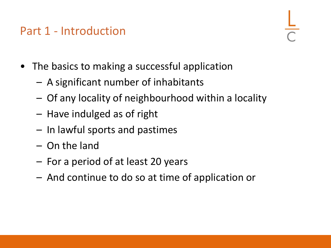- The basics to making a successful application
	- A significant number of inhabitants
	- Of any locality of neighbourhood within a locality
	- Have indulged as of right
	- In lawful sports and pastimes
	- On the land
	- For a period of at least 20 years
	- And continue to do so at time of application or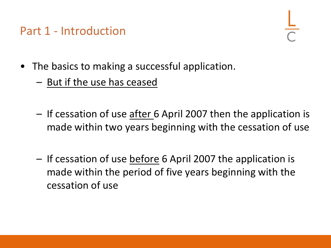- The basics to making a successful application.
	- But if the use has ceased
	- If cessation of use after 6 April 2007 then the application is made within two years beginning with the cessation of use
	- If cessation of use before 6 April 2007 the application is made within the period of five years beginning with the cessation of use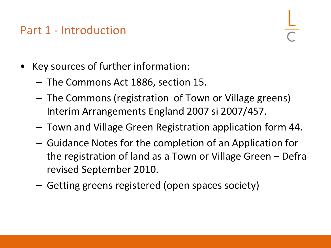- Key sources of further information:
	- The Commons Act 1886, section 15.
	- The Commons (registration of Town or Village greens) Interim Arrangements England 2007 si 2007/457.
	- Town and Village Green Registration application form 44.
	- Guidance Notes for the completion of an Application for the registration of land as a Town or Village Green – Defra revised September 2010.
	- Getting greens registered (open spaces society)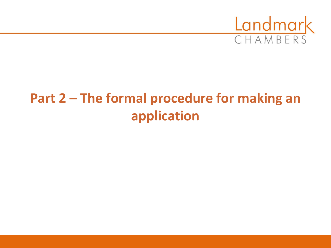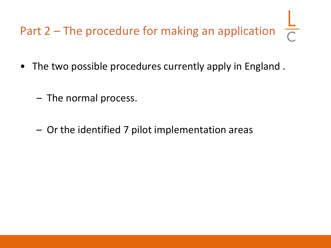- The two possible procedures currently apply in England .
	- The normal process.
	- Or the identified 7 pilot implementation areas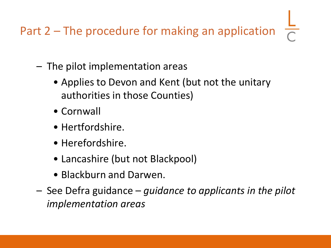- The pilot implementation areas
	- Applies to Devon and Kent (but not the unitary authorities in those Counties)
	- Cornwall
	- Hertfordshire.
	- Herefordshire.
	- Lancashire (but not Blackpool)
	- Blackburn and Darwen.
- See Defra guidance *guidance to applicants in the pilot implementation areas*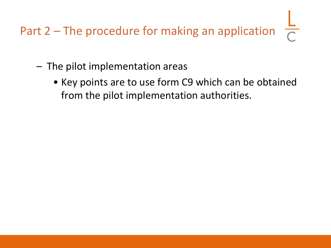- The pilot implementation areas
	- Key points are to use form C9 which can be obtained from the pilot implementation authorities.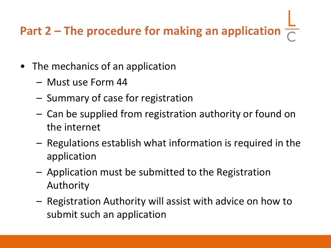## **Part 2 – The procedure for making an application**  $\frac{2}{C}$

- The mechanics of an application
	- Must use Form 44
	- Summary of case for registration
	- Can be supplied from registration authority or found on the internet
	- Regulations establish what information is required in the application
	- Application must be submitted to the Registration Authority
	- Registration Authority will assist with advice on how to submit such an application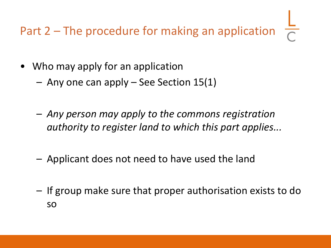- Who may apply for an application
	- Any one can apply See Section 15(1)
	- *Any person may apply to the commons registration authority to register land to which this part applies...*
	- Applicant does not need to have used the land
	- If group make sure that proper authorisation exists to do so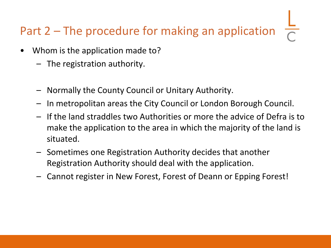- Whom is the application made to?
	- The registration authority.
	- Normally the County Council or Unitary Authority.
	- In metropolitan areas the City Council or London Borough Council.
	- If the land straddles two Authorities or more the advice of Defra is to make the application to the area in which the majority of the land is situated.
	- Sometimes one Registration Authority decides that another Registration Authority should deal with the application.
	- Cannot register in New Forest, Forest of Deann or Epping Forest!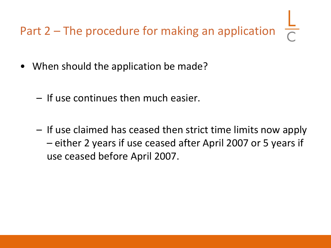- When should the application be made?
	- If use continues then much easier.
	- If use claimed has ceased then strict time limits now apply – either 2 years if use ceased after April 2007 or 5 years if use ceased before April 2007.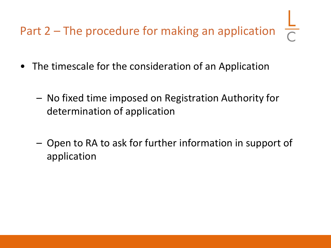- The timescale for the consideration of an Application
	- No fixed time imposed on Registration Authority for determination of application
	- Open to RA to ask for further information in support of application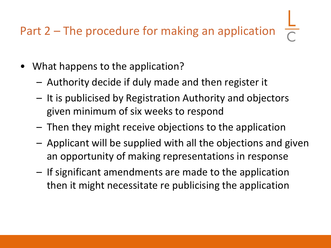- What happens to the application?
	- Authority decide if duly made and then register it
	- It is publicised by Registration Authority and objectors given minimum of six weeks to respond
	- Then they might receive objections to the application
	- Applicant will be supplied with all the objections and given an opportunity of making representations in response
	- If significant amendments are made to the application then it might necessitate re publicising the application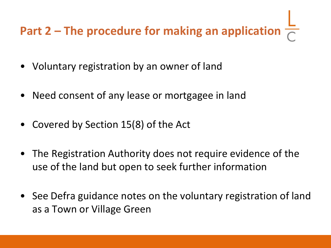## **Part 2 – The procedure for making an application**  $\frac{\mathsf{L}}{\sqrt{2}}$

- Voluntary registration by an owner of land
- Need consent of any lease or mortgagee in land
- Covered by Section 15(8) of the Act
- The Registration Authority does not require evidence of the use of the land but open to seek further information
- See Defra guidance notes on the voluntary registration of land as a Town or Village Green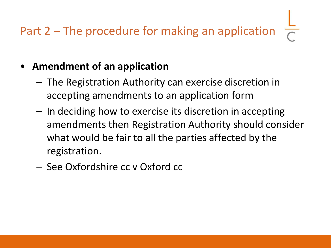#### • **Amendment of an application**

- The Registration Authority can exercise discretion in accepting amendments to an application form
- In deciding how to exercise its discretion in accepting amendments then Registration Authority should consider what would be fair to all the parties affected by the registration.
- See Oxfordshire cc v Oxford cc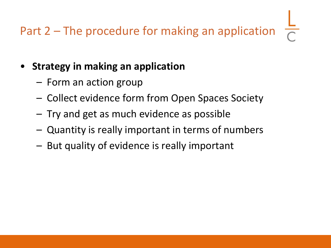#### • **Strategy in making an application**

- Form an action group
- Collect evidence form from Open Spaces Society
- Try and get as much evidence as possible
- Quantity is really important in terms of numbers
- But quality of evidence is really important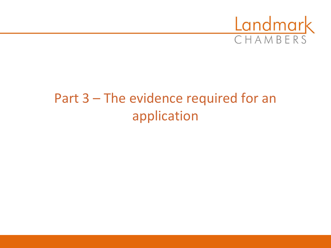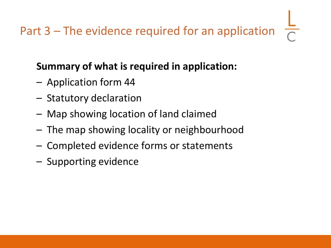#### **Summary of what is required in application:**

- Application form 44
- Statutory declaration
- Map showing location of land claimed
- The map showing locality or neighbourhood
- Completed evidence forms or statements
- Supporting evidence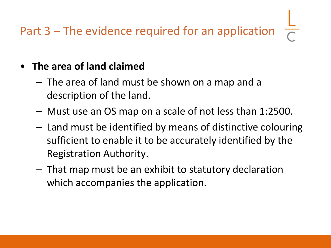#### • **The area of land claimed**

- The area of land must be shown on a map and a description of the land.
- Must use an OS map on a scale of not less than 1:2500.
- Land must be identified by means of distinctive colouring sufficient to enable it to be accurately identified by the Registration Authority.
- That map must be an exhibit to statutory declaration which accompanies the application.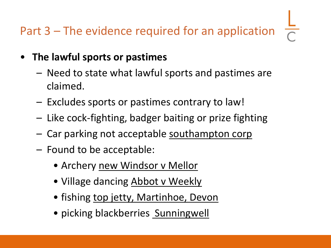- **The lawful sports or pastimes**
	- Need to state what lawful sports and pastimes are claimed.
	- Excludes sports or pastimes contrary to law!
	- Like cock-fighting, badger baiting or prize fighting
	- Car parking not acceptable southampton corp
	- Found to be acceptable:
		- Archery new Windsor v Mellor
		- Village dancing Abbot v Weekly
		- fishing top jetty, Martinhoe, Devon
		- picking blackberries Sunningwell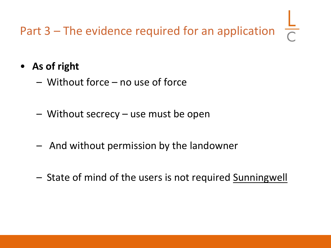- **As of right**
	- Without force no use of force
	- Without secrecy use must be open
	- And without permission by the landowner
	- State of mind of the users is not required Sunningwell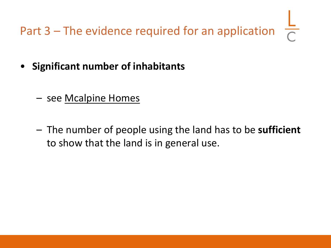- **Significant number of inhabitants**
	- see Mcalpine Homes
	- The number of people using the land has to be **sufficient** to show that the land is in general use.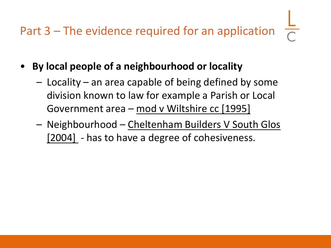- **By local people of a neighbourhood or locality**
	- Locality an area capable of being defined by some division known to law for example a Parish or Local Government area – mod v Wiltshire cc [1995]
	- Neighbourhood Cheltenham Builders V South Glos [2004] - has to have a degree of cohesiveness.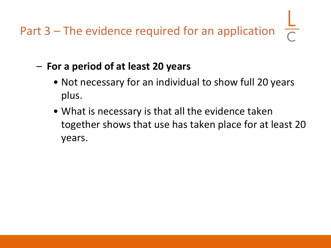- **For a period of at least 20 years**
	- Not necessary for an individual to show full 20 years plus.
	- What is necessary is that all the evidence taken together shows that use has taken place for at least 20 years.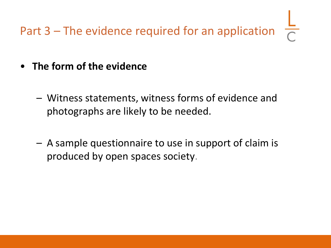- **The form of the evidence**
	- Witness statements, witness forms of evidence and photographs are likely to be needed.
	- A sample questionnaire to use in support of claim is produced by open spaces society.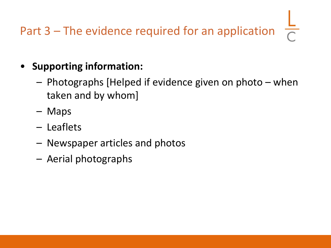- **Supporting information:**
	- Photographs [Helped if evidence given on photo when taken and by whom]
	- Maps
	- Leaflets
	- Newspaper articles and photos
	- Aerial photographs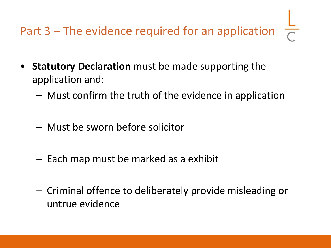- **Statutory Declaration** must be made supporting the application and:
	- Must confirm the truth of the evidence in application
	- Must be sworn before solicitor
	- Each map must be marked as a exhibit
	- Criminal offence to deliberately provide misleading or untrue evidence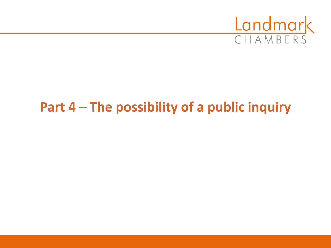

## **Part 4 – The possibility of a public inquiry**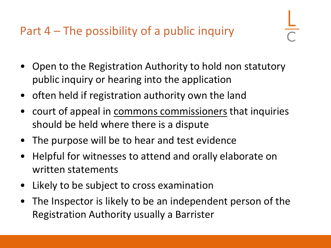- 
- Open to the Registration Authority to hold non statutory public inquiry or hearing into the application
- often held if registration authority own the land
- court of appeal in commons commissioners that inquiries should be held where there is a dispute
- The purpose will be to hear and test evidence
- Helpful for witnesses to attend and orally elaborate on written statements
- Likely to be subject to cross examination
- The Inspector is likely to be an independent person of the Registration Authority usually a Barrister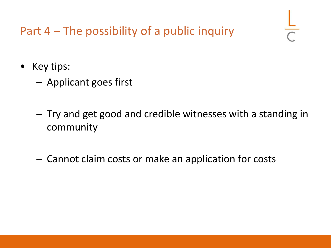- Key tips:
	- Applicant goes first
	- Try and get good and credible witnesses with a standing in community
	- Cannot claim costs or make an application for costs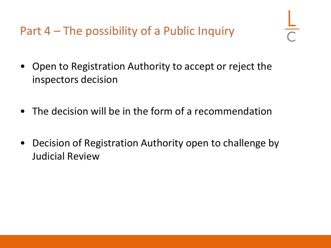Part 4 – The possibility of a Public Inquiry

- Open to Registration Authority to accept or reject the inspectors decision
- The decision will be in the form of a recommendation
- Decision of Registration Authority open to challenge by Judicial Review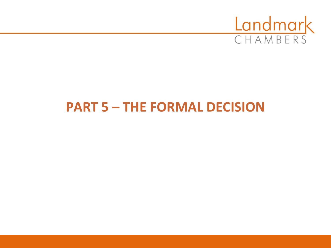

### **PART 5 – THE FORMAL DECISION**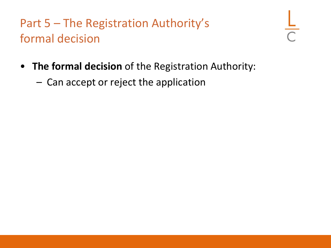- **The formal decision** of the Registration Authority:
	- Can accept or reject the application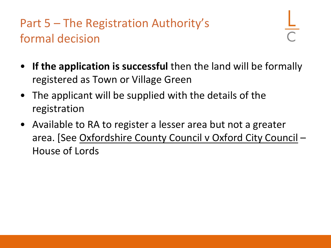- **If the application is successful** then the land will be formally registered as Town or Village Green
- The applicant will be supplied with the details of the registration
- Available to RA to register a lesser area but not a greater area. [See Oxfordshire County Council v Oxford City Council – House of Lords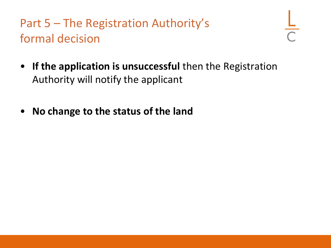- **If the application is unsuccessful** then the Registration Authority will notify the applicant
- **No change to the status of the land**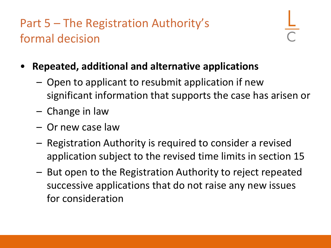- **Repeated, additional and alternative applications**
	- Open to applicant to resubmit application if new significant information that supports the case has arisen or
	- Change in law
	- Or new case law
	- Registration Authority is required to consider a revised application subject to the revised time limits in section 15
	- But open to the Registration Authority to reject repeated successive applications that do not raise any new issues for consideration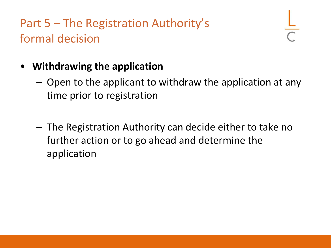#### • **Withdrawing the application**

- Open to the applicant to withdraw the application at any time prior to registration
- The Registration Authority can decide either to take no further action or to go ahead and determine the application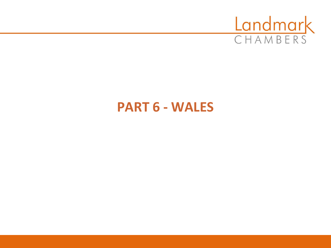

#### **PART 6 - WALES**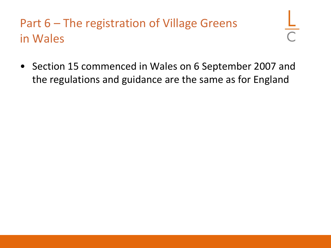## Part 6 – The registration of Village Greens in Wales

• Section 15 commenced in Wales on 6 September 2007 and the regulations and guidance are the same as for England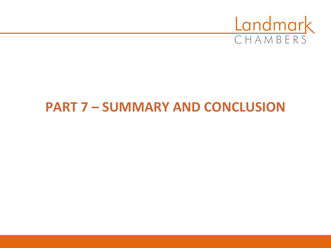

## **PART 7 – SUMMARY AND CONCLUSION**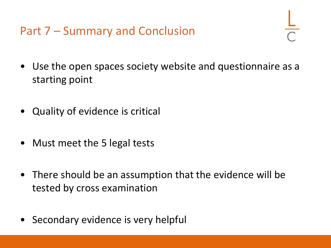Part 7 – Summary and Conclusion

- Use the open spaces society website and questionnaire as a starting point
- Quality of evidence is critical
- Must meet the 5 legal tests
- There should be an assumption that the evidence will be tested by cross examination
- Secondary evidence is very helpful